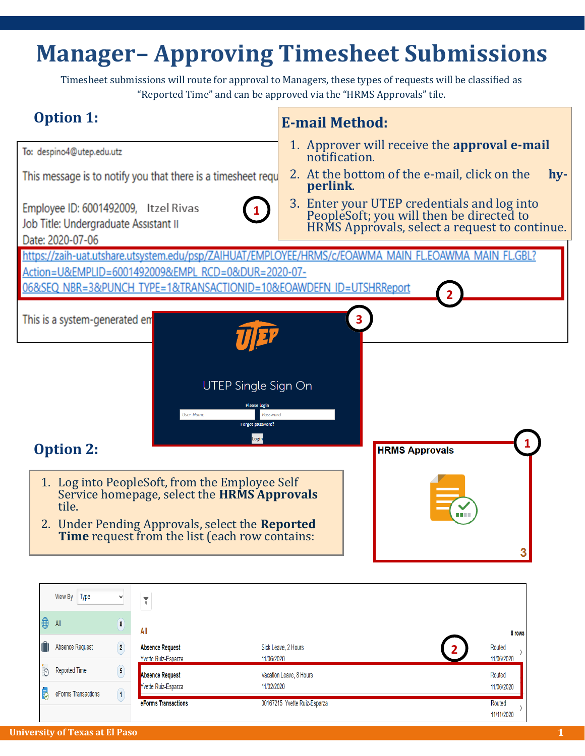## **Manager– Approving Timesheet Submissions**

Timesheet submissions will route for approval to Managers, these types of requests will be classified as "Reported Time" and can be approved via the "HRMS Approvals" tile.



00167215 Yvette Ruiz-Esparza

eForms Transactions

Routed 11/11/2020